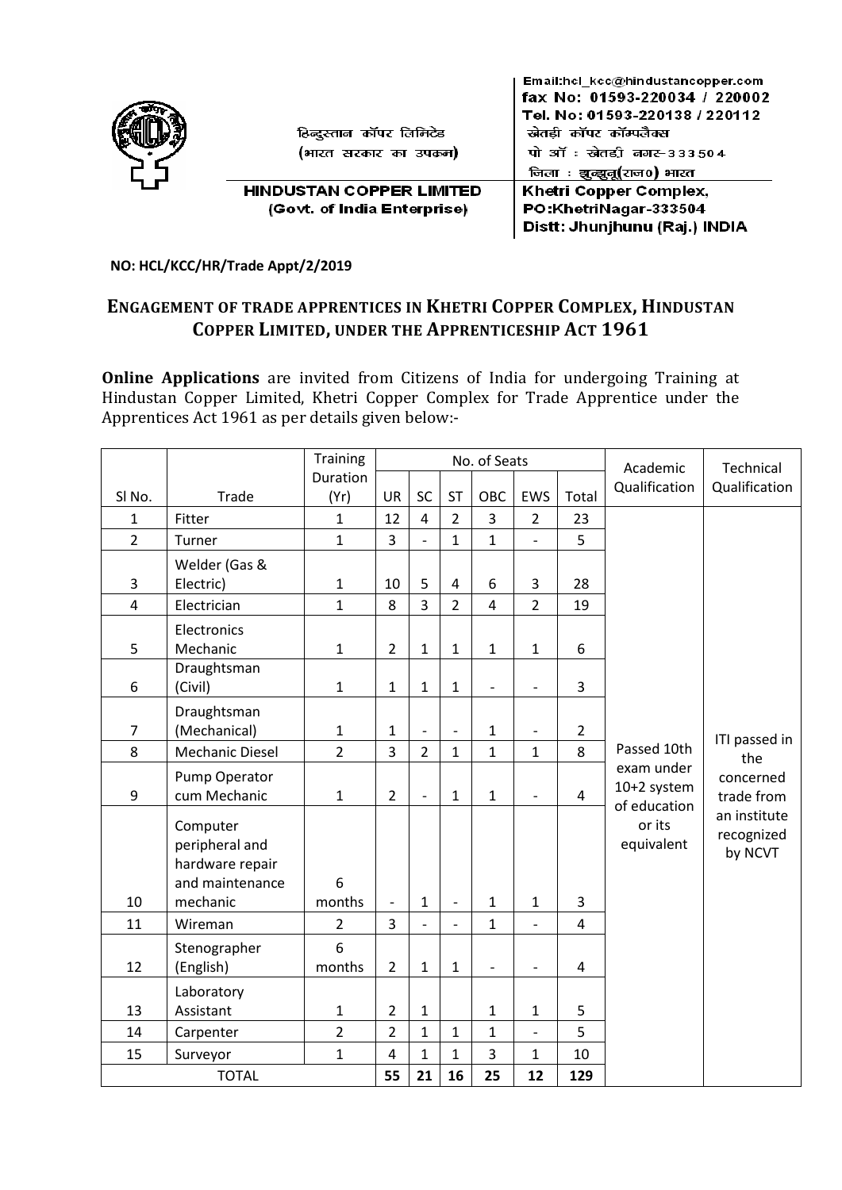

**NO: HCL/KCC/HR/Trade Appt/2/2019** 

# **ENGAGEMENT OF TRADE APPRENTICES IN KHETRI COPPER COMPLEX, HINDUSTAN COPPER LIMITED, UNDER THE APPRENTICESHIP ACT 1961**

**Online Applications** are invited from Citizens of India for undergoing Training at Hindustan Copper Limited, Khetri Copper Complex for Trade Apprentice under the Apprentices Act 1961 as per details given below:-

|                  |                 | <b>Training</b> | No. of Seats             |                          |                |                   |                          | Academic                | Technical                   |               |
|------------------|-----------------|-----------------|--------------------------|--------------------------|----------------|-------------------|--------------------------|-------------------------|-----------------------------|---------------|
|                  |                 | Duration        |                          |                          |                |                   |                          |                         | Qualification               | Qualification |
| SI No.           | Trade           | (Yr)            | <b>UR</b>                | SC                       | <b>ST</b>      | OBC               | EWS                      | Total                   |                             |               |
| $\mathbf{1}$     | Fitter          | $\mathbf{1}$    | 12                       | 4                        | $\overline{2}$ | 3                 | $\overline{2}$           | 23                      |                             |               |
| $\overline{2}$   | Turner          | $\overline{1}$  | $\overline{3}$           | $\frac{1}{2}$            | $\mathbf{1}$   | $\mathbf{1}$      | $\overline{\phantom{0}}$ | 5                       |                             |               |
|                  | Welder (Gas &   |                 |                          |                          |                |                   |                          |                         |                             |               |
| 3                | Electric)       | $\mathbf{1}$    | 10                       | 5                        | 4              | 6                 | 3                        | 28                      |                             |               |
| $\overline{4}$   | Electrician     | $\mathbf{1}$    | 8                        | 3                        | $\overline{2}$ | $\overline{4}$    | $\overline{2}$           | 19                      |                             |               |
|                  | Electronics     |                 |                          |                          |                |                   |                          |                         |                             |               |
| 5                | Mechanic        | $\mathbf{1}$    | $\overline{2}$           | $\mathbf 1$              | $\mathbf{1}$   | $\mathbf{1}$      | $\mathbf 1$              | 6                       |                             |               |
|                  | Draughtsman     |                 |                          |                          |                |                   |                          |                         |                             |               |
| $\boldsymbol{6}$ | (Civil)         | $\mathbf{1}$    | $\mathbf{1}$             | $\mathbf{1}$             | $\mathbf{1}$   | $\qquad \qquad -$ | $\qquad \qquad -$        | 3                       |                             |               |
|                  | Draughtsman     |                 |                          |                          |                |                   |                          |                         |                             |               |
| $\overline{7}$   | (Mechanical)    | $\mathbf{1}$    | $\mathbf{1}$             | $\overline{a}$           | $\overline{a}$ | $\mathbf{1}$      | $\frac{1}{2}$            | $\overline{2}$          |                             | ITI passed in |
| 8                | Mechanic Diesel | $\overline{2}$  | $\overline{3}$           | $\overline{2}$           | $\mathbf{1}$   | $\mathbf{1}$      | $\mathbf{1}$             | 8                       | Passed 10th                 | the           |
|                  | Pump Operator   |                 |                          |                          |                |                   |                          |                         | exam under                  | concerned     |
| $\boldsymbol{9}$ | cum Mechanic    | $\mathbf{1}$    | $\overline{2}$           | $\overline{\phantom{m}}$ | $\mathbf{1}$   | $\mathbf 1$       | $\overline{\phantom{m}}$ | $\overline{4}$          | 10+2 system<br>of education | trade from    |
|                  | Computer        |                 |                          |                          |                |                   |                          |                         | or its                      | an institute  |
|                  | peripheral and  |                 |                          |                          |                |                   |                          |                         | equivalent                  | recognized    |
|                  | hardware repair |                 |                          |                          |                |                   |                          |                         |                             | by NCVT       |
|                  | and maintenance | 6               |                          |                          |                |                   |                          |                         |                             |               |
| 10               | mechanic        | months          | $\overline{\phantom{a}}$ | $\mathbf{1}$             | $\overline{a}$ | $\mathbf 1$       | $\mathbf{1}$             | 3                       |                             |               |
| 11               | Wireman         | $\overline{2}$  | 3                        | $\overline{\phantom{a}}$ | $\overline{a}$ | $\mathbf{1}$      | $\overline{\phantom{m}}$ | $\overline{\mathbf{4}}$ |                             |               |
|                  | Stenographer    | 6               |                          |                          |                |                   |                          |                         |                             |               |
| 12               | (English)       | months          | $\overline{2}$           | $\mathbf{1}$             | $\mathbf{1}$   | $\overline{a}$    | $\overline{a}$           | $\overline{4}$          |                             |               |
|                  | Laboratory      |                 |                          |                          |                |                   |                          |                         |                             |               |
| 13               | Assistant       | $\mathbf{1}$    | $\overline{2}$           | $\mathbf{1}$             |                | 1                 | $\mathbf{1}$             | 5                       |                             |               |
| 14               | Carpenter       | $\overline{2}$  | $\overline{2}$           | $\mathbf{1}$             | $\mathbf{1}$   | $\mathbf{1}$      | $\qquad \qquad -$        | 5                       |                             |               |
| 15               | Surveyor        | $\mathbf{1}$    | $\overline{\mathbf{4}}$  | $\mathbf{1}$             | $\mathbf{1}$   | 3                 | $\mathbf{1}$             | 10                      |                             |               |
| <b>TOTAL</b>     |                 |                 | 55                       | 21                       | 16             | 25                | 12                       | 129                     |                             |               |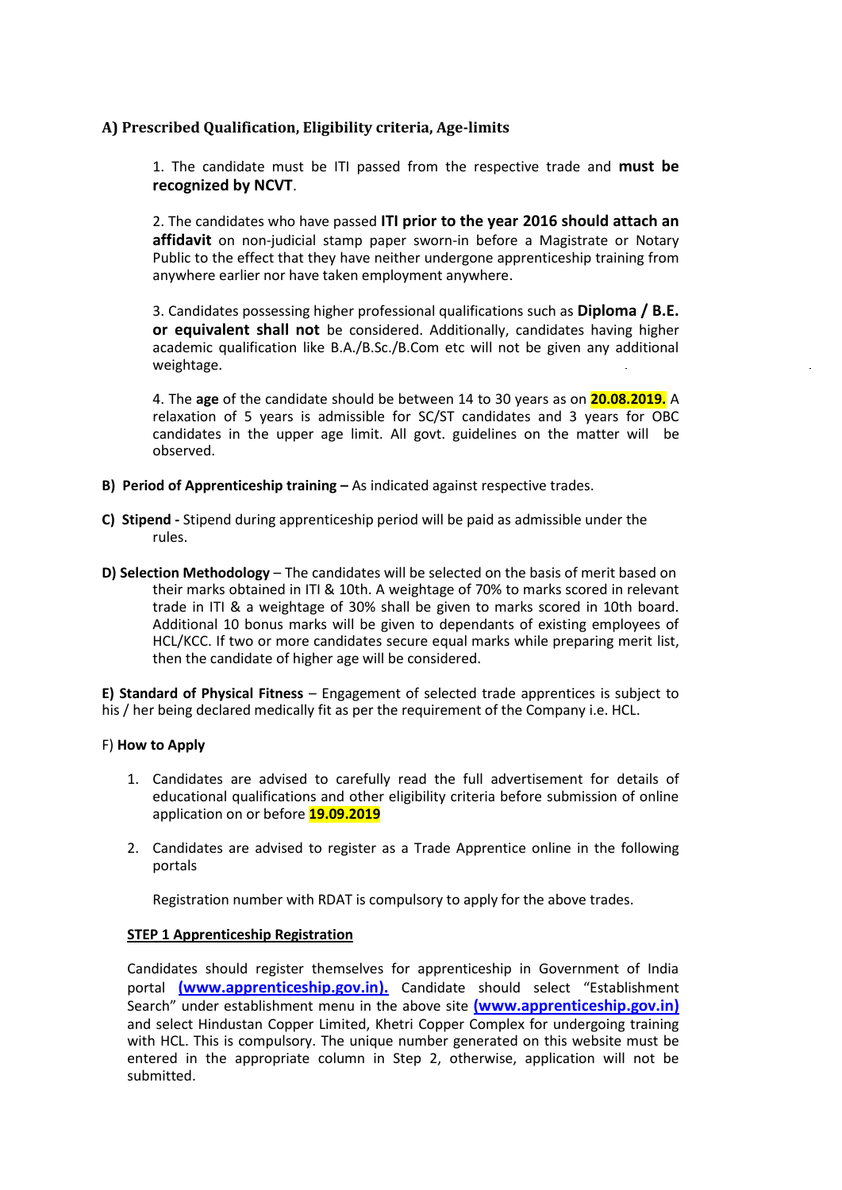## **A) Prescribed Qualification, Eligibility criteria, Age-limits**

1. The candidate must be ITI passed from the respective trade and **must be recognized by NCVT**.

2. The candidates who have passed **ITI prior to the year 2016 should attach an affidavit** on non-judicial stamp paper sworn-in before a Magistrate or Notary Public to the effect that they have neither undergone apprenticeship training from anywhere earlier nor have taken employment anywhere.

3. Candidates possessing higher professional qualifications such as **Diploma / B.E. or equivalent shall not** be considered. Additionally, candidates having higher academic qualification like B.A./B.Sc./B.Com etc will not be given any additional weightage.

4. The **age** of the candidate should be between 14 to 30 years as on **20.08.2019.** A relaxation of 5 years is admissible for SC/ST candidates and 3 years for OBC candidates in the upper age limit. All govt. guidelines on the matter will be observed.

- **B) Period of Apprenticeship training –** As indicated against respective trades.
- **C) Stipend -** Stipend during apprenticeship period will be paid as admissible under the rules.
- **D) Selection Methodology** The candidates will be selected on the basis of merit based on their marks obtained in ITI & 10th. A weightage of 70% to marks scored in relevant trade in ITI & a weightage of 30% shall be given to marks scored in 10th board. Additional 10 bonus marks will be given to dependants of existing employees of HCL/KCC. If two or more candidates secure equal marks while preparing merit list, then the candidate of higher age will be considered.

**E) Standard of Physical Fitness** – Engagement of selected trade apprentices is subject to his / her being declared medically fit as per the requirement of the Company i.e. HCL.

#### F) **How to Apply**

- 1. Candidates are advised to carefully read the full advertisement for details of educational qualifications and other eligibility criteria before submission of online application on or before **19.09.2019**
- 2. Candidates are advised to register as a Trade Apprentice online in the following portals

Registration number with RDAT is compulsory to apply for the above trades.

## **STEP 1 Apprenticeship Registration**

Candidates should register themselves for apprenticeship in Government of India portal **[\(www.apprenticeship.gov.in\)](http://www.apprenticeship.gov.in/).** Candidate should select "Establishment Search" under establishment menu in the above site **[\(www.apprenticeship.gov.in\)](http://www.apprenticeship.gov.in/)** and select Hindustan Copper Limited, Khetri Copper Complex for undergoing training with HCL. This is compulsory. The unique number generated on this website must be entered in the appropriate column in Step 2, otherwise, application will not be submitted.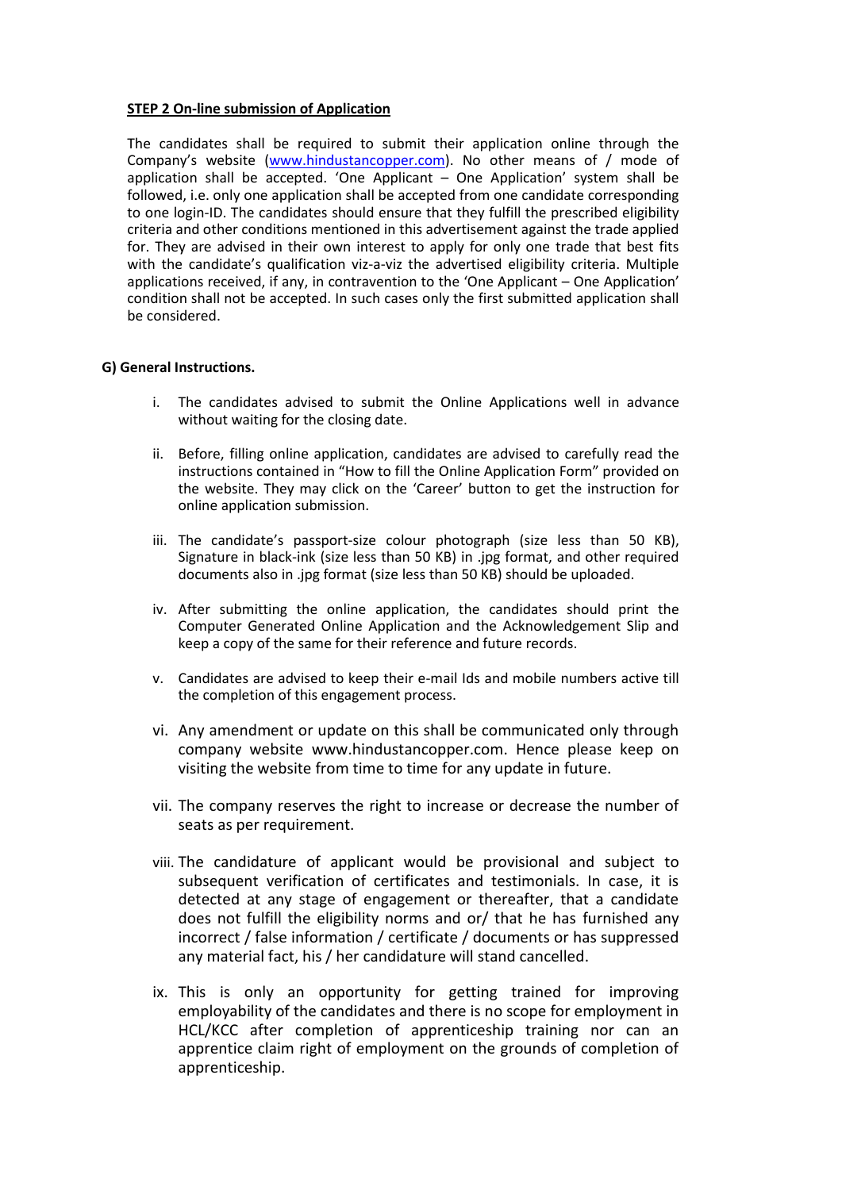### **STEP 2 On-line submission of Application**

The candidates shall be required to submit their application online through the Company's website ([www.hindustancopper.com\)](http://www.hindustancopper.com/). No other means of / mode of application shall be accepted. 'One Applicant – One Application' system shall be followed, i.e. only one application shall be accepted from one candidate corresponding to one login-ID. The candidates should ensure that they fulfill the prescribed eligibility criteria and other conditions mentioned in this advertisement against the trade applied for. They are advised in their own interest to apply for only one trade that best fits with the candidate's qualification viz-a-viz the advertised eligibility criteria. Multiple applications received, if any, in contravention to the 'One Applicant – One Application' condition shall not be accepted. In such cases only the first submitted application shall be considered.

#### **G) General Instructions.**

- i. The candidates advised to submit the Online Applications well in advance without waiting for the closing date.
- ii. Before, filling online application, candidates are advised to carefully read the instructions contained in "How to fill the Online Application Form" provided on the website. They may click on the 'Career' button to get the instruction for online application submission.
- iii. The candidate's passport-size colour photograph (size less than 50 KB), Signature in black-ink (size less than 50 KB) in .jpg format, and other required documents also in .jpg format (size less than 50 KB) should be uploaded.
- iv. After submitting the online application, the candidates should print the Computer Generated Online Application and the Acknowledgement Slip and keep a copy of the same for their reference and future records.
- v. Candidates are advised to keep their e-mail Ids and mobile numbers active till the completion of this engagement process.
- vi. Any amendment or update on this shall be communicated only through company website [www.hindustancopper.com. H](http://www.hindustancopper.com/)ence please keep on visiting the website from time to time for any update in future.
- vii. The company reserves the right to increase or decrease the number of seats as per requirement.
- viii. The candidature of applicant would be provisional and subject to subsequent verification of certificates and testimonials. In case, it is detected at any stage of engagement or thereafter, that a candidate does not fulfill the eligibility norms and or/ that he has furnished any incorrect / false information / certificate / documents or has suppressed any material fact, his / her candidature will stand cancelled.
- ix. This is only an opportunity for getting trained for improving employability of the candidates and there is no scope for employment in HCL/KCC after completion of apprenticeship training nor can an apprentice claim right of employment on the grounds of completion of apprenticeship.